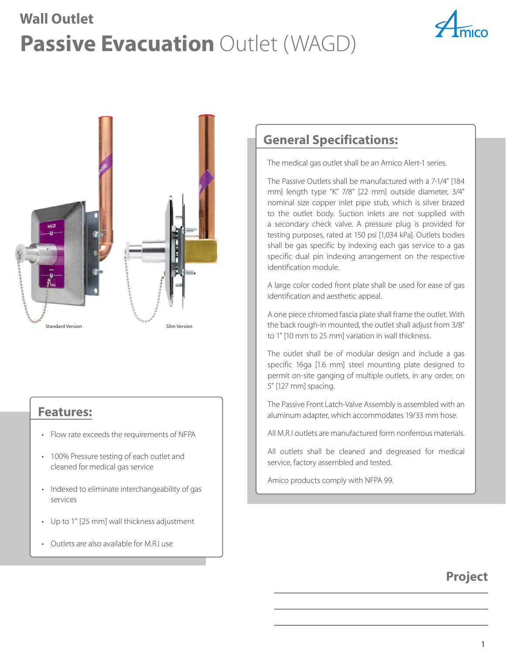## **Passive Evacuation Outlet (WAGD) Wall Outlet**





### **Features:**

- Flow rate exceeds the requirements of NFPA
- 100% Pressure testing of each outlet and cleaned for medical gas service
- Indexed to eliminate interchangeability of gas services
- Up to 1" [25 mm] wall thickness adjustment
- Outlets are also available for M.R.I use

### **General Specifications:**

The medical gas outlet shall be an Amico Alert-1 series.

The Passive Outlets shall be manufactured with a 7-1/4" [184 mm] length type "K" 7/8" [22 mm] outside diameter, 3/4" nominal size copper inlet pipe stub, which is silver brazed to the outlet body. Suction inlets are not supplied with a secondary check valve. A pressure plug is provided for testing purposes, rated at 150 psi [1,034 kPa]. Outlets bodies shall be gas specific by indexing each gas service to a gas specific dual pin indexing arrangement on the respective identification module.

A large color coded front plate shall be used for ease of gas identification and aesthetic appeal.

A one piece chromed fascia plate shall frame the outlet. With the back rough-in mounted, the outlet shall adjust from 3/8" to 1" [10 mm to 25 mm] variation in wall thickness.

The outlet shall be of modular design and include a gas specific 16ga [1.6 mm] steel mounting plate designed to permit on-site ganging of multiple outlets, in any order, on 5" [127 mm] spacing.

The Passive Front Latch-Valve Assembly is assembled with an aluminum adapter, which accommodates 19/33 mm hose.

All M.R.I outlets are manufactured form nonferrous materials.

All outlets shall be cleaned and degreased for medical service, factory assembled and tested.

Amico products comply with NFPA 99.

### **Project**